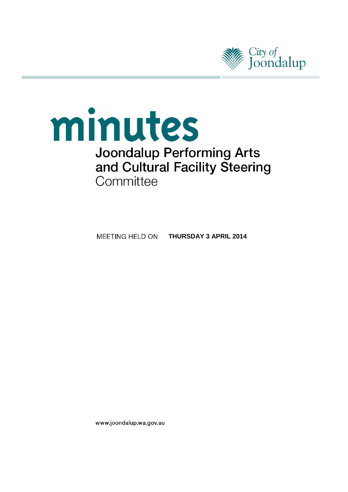

# minutes **Joondalup Performing Arts** and Cultural Facility Steering Committee

**THURSDAY 3 APRIL 2014**MEETING HELD ON

www.joondalup.wa.gov.au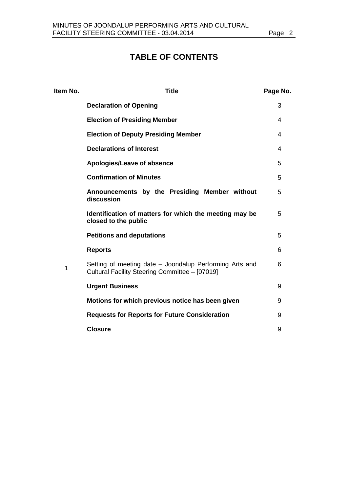# **TABLE OF CONTENTS**

| <b>Title</b>                                                                                              | Page No. |
|-----------------------------------------------------------------------------------------------------------|----------|
| <b>Declaration of Opening</b>                                                                             | 3        |
| <b>Election of Presiding Member</b>                                                                       | 4        |
| <b>Election of Deputy Presiding Member</b>                                                                | 4        |
| <b>Declarations of Interest</b>                                                                           | 4        |
| Apologies/Leave of absence                                                                                | 5        |
| <b>Confirmation of Minutes</b>                                                                            | 5        |
| Announcements by the Presiding Member without<br>discussion                                               | 5        |
| Identification of matters for which the meeting may be<br>closed to the public                            | 5        |
| <b>Petitions and deputations</b>                                                                          | 5        |
| <b>Reports</b>                                                                                            | 6        |
| Setting of meeting date – Joondalup Performing Arts and<br>Cultural Facility Steering Committee - [07019] | 6        |
| <b>Urgent Business</b>                                                                                    | 9        |
| Motions for which previous notice has been given                                                          | 9        |
| <b>Requests for Reports for Future Consideration</b>                                                      | 9        |
| <b>Closure</b>                                                                                            | 9        |
|                                                                                                           |          |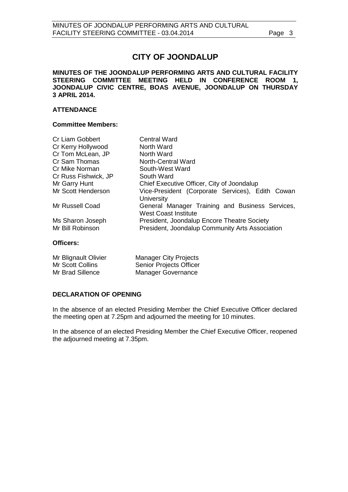# **CITY OF JOONDALUP**

**MINUTES OF THE JOONDALUP PERFORMING ARTS AND CULTURAL FACILITY STEERING COMMITTEE MEETING HELD IN CONFERENCE ROOM 1, JOONDALUP CIVIC CENTRE, BOAS AVENUE, JOONDALUP ON THURSDAY 3 APRIL 2014.**

#### **ATTENDANCE**

#### **Committee Members:**

| <b>Cr Liam Gobbert</b> | <b>Central Ward</b>                                                            |
|------------------------|--------------------------------------------------------------------------------|
| Cr Kerry Hollywood     | North Ward                                                                     |
| Cr Tom McLean, JP      | North Ward                                                                     |
| Cr Sam Thomas          | <b>North-Central Ward</b>                                                      |
| Cr Mike Norman         | South-West Ward                                                                |
| Cr Russ Fishwick, JP   | South Ward                                                                     |
| Mr Garry Hunt          | Chief Executive Officer, City of Joondalup                                     |
| Mr Scott Henderson     | Vice-President (Corporate Services), Edith Cowan<br>University                 |
| Mr Russell Coad        | General Manager Training and Business Services,<br><b>West Coast Institute</b> |
| Ms Sharon Joseph       | President, Joondalup Encore Theatre Society                                    |
| Mr Bill Robinson       | President, Joondalup Community Arts Association                                |

#### **Officers:**

| Mr Blignault Olivier | <b>Manager City Projects</b>   |
|----------------------|--------------------------------|
| Mr Scott Collins     | <b>Senior Projects Officer</b> |
| Mr Brad Sillence     | Manager Governance             |

#### <span id="page-2-0"></span>**DECLARATION OF OPENING**

In the absence of an elected Presiding Member the Chief Executive Officer declared the meeting open at 7.25pm and adjourned the meeting for 10 minutes.

In the absence of an elected Presiding Member the Chief Executive Officer, reopened the adjourned meeting at 7.35pm.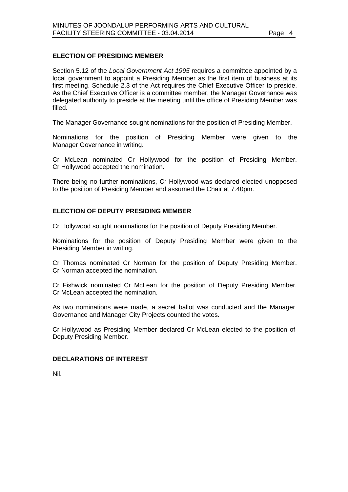#### <span id="page-3-0"></span>**ELECTION OF PRESIDING MEMBER**

Section 5.12 of the *Local Government Act 1995* requires a committee appointed by a local government to appoint a Presiding Member as the first item of business at its first meeting. Schedule 2.3 of the Act requires the Chief Executive Officer to preside. As the Chief Executive Officer is a committee member, the Manager Governance was delegated authority to preside at the meeting until the office of Presiding Member was filled.

The Manager Governance sought nominations for the position of Presiding Member.

Nominations for the position of Presiding Member were given to the Manager Governance in writing.

Cr McLean nominated Cr Hollywood for the position of Presiding Member. Cr Hollywood accepted the nomination.

There being no further nominations, Cr Hollywood was declared elected unopposed to the position of Presiding Member and assumed the Chair at 7.40pm.

#### <span id="page-3-1"></span>**ELECTION OF DEPUTY PRESIDING MEMBER**

Cr Hollywood sought nominations for the position of Deputy Presiding Member.

Nominations for the position of Deputy Presiding Member were given to the Presiding Member in writing.

Cr Thomas nominated Cr Norman for the position of Deputy Presiding Member. Cr Norman accepted the nomination.

Cr Fishwick nominated Cr McLean for the position of Deputy Presiding Member. Cr McLean accepted the nomination.

As two nominations were made, a secret ballot was conducted and the Manager Governance and Manager City Projects counted the votes.

Cr Hollywood as Presiding Member declared Cr McLean elected to the position of Deputy Presiding Member.

#### <span id="page-3-2"></span>**DECLARATIONS OF INTEREST**

<span id="page-3-3"></span>Nil.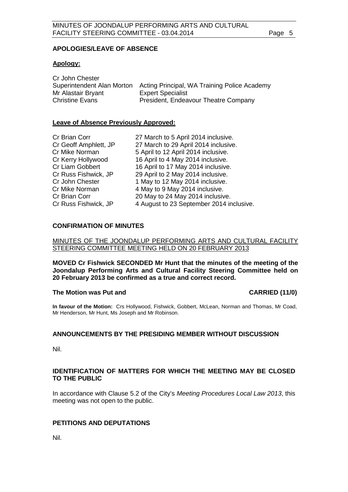#### **APOLOGIES/LEAVE OF ABSENCE**

#### **Apology:**

| Cr John Chester            |                                              |
|----------------------------|----------------------------------------------|
| Superintendent Alan Morton | Acting Principal, WA Training Police Academy |
| Mr Alastair Bryant         | <b>Expert Specialist</b>                     |
| <b>Christine Evans</b>     | President, Endeavour Theatre Company         |

#### **Leave of Absence Previously Approved:**

| Cr Brian Corr         | 27 March to 5 April 2014 inclusive.      |
|-----------------------|------------------------------------------|
| Cr Geoff Amphlett, JP | 27 March to 29 April 2014 inclusive.     |
| Cr Mike Norman        | 5 April to 12 April 2014 inclusive.      |
| Cr Kerry Hollywood    | 16 April to 4 May 2014 inclusive.        |
| Cr Liam Gobbert       | 16 April to 17 May 2014 inclusive.       |
| Cr Russ Fishwick, JP  | 29 April to 2 May 2014 inclusive.        |
| Cr John Chester       | 1 May to 12 May 2014 inclusive.          |
| Cr Mike Norman        | 4 May to 9 May 2014 inclusive.           |
| Cr Brian Corr         | 20 May to 24 May 2014 inclusive.         |
| Cr Russ Fishwick, JP  | 4 August to 23 September 2014 inclusive. |

#### <span id="page-4-0"></span>**CONFIRMATION OF MINUTES**

#### MINUTES OF THE JOONDALUP PERFORMING ARTS AND CULTURAL FACILITY STEERING COMMITTEE MEETING HELD ON 20 FEBRUARY 2013

**MOVED Cr Fishwick SECONDED Mr Hunt that the minutes of the meeting of the Joondalup Performing Arts and Cultural Facility Steering Committee held on 20 February 2013 be confirmed as a true and correct record.**

#### **The Motion was Put and CARRIED (11/0)**

**In favour of the Motion:** Crs Hollywood, Fishwick, Gobbert, McLean, Norman and Thomas, Mr Coad, Mr Henderson, Mr Hunt, Ms Joseph and Mr Robinson.

#### <span id="page-4-1"></span>**ANNOUNCEMENTS BY THE PRESIDING MEMBER WITHOUT DISCUSSION**

Nil.

#### <span id="page-4-2"></span>**IDENTIFICATION OF MATTERS FOR WHICH THE MEETING MAY BE CLOSED TO THE PUBLIC**

In accordance with Clause 5.2 of the City's *Meeting Procedures Local Law 2013*, this meeting was not open to the public.

#### <span id="page-4-3"></span>**PETITIONS AND DEPUTATIONS**

Nil.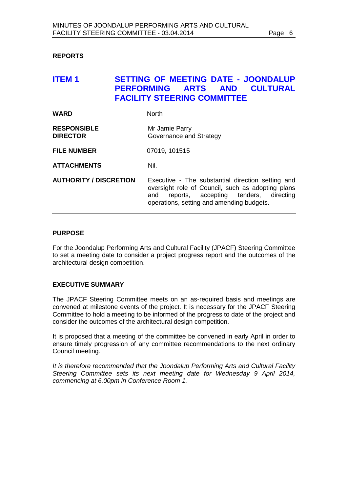#### <span id="page-5-0"></span>**REPORTS**

## <span id="page-5-1"></span>**ITEM 1 SETTING OF MEETING DATE - JOONDALUP PERFORMING ARTS AND CULTURAL FACILITY STEERING COMMITTEE**

| <b>WARD</b>                           | <b>North</b>                                                                                                                                                                                           |
|---------------------------------------|--------------------------------------------------------------------------------------------------------------------------------------------------------------------------------------------------------|
| <b>RESPONSIBLE</b><br><b>DIRECTOR</b> | Mr Jamie Parry<br>Governance and Strategy                                                                                                                                                              |
| <b>FILE NUMBER</b>                    | 07019, 101515                                                                                                                                                                                          |
| <b>ATTACHMENTS</b>                    | Nil.                                                                                                                                                                                                   |
| <b>AUTHORITY / DISCRETION</b>         | Executive - The substantial direction setting and<br>oversight role of Council, such as adopting plans<br>reports, accepting tenders,<br>directing<br>and<br>operations, setting and amending budgets. |

#### **PURPOSE**

For the Joondalup Performing Arts and Cultural Facility (JPACF) Steering Committee to set a meeting date to consider a project progress report and the outcomes of the architectural design competition.

#### **EXECUTIVE SUMMARY**

The JPACF Steering Committee meets on an as-required basis and meetings are convened at milestone events of the project. It is necessary for the JPACF Steering Committee to hold a meeting to be informed of the progress to date of the project and consider the outcomes of the architectural design competition.

It is proposed that a meeting of the committee be convened in early April in order to ensure timely progression of any committee recommendations to the next ordinary Council meeting.

*It is therefore recommended that the Joondalup Performing Arts and Cultural Facility Steering Committee sets its next meeting date for Wednesday 9 April 2014, commencing at 6.00pm in Conference Room 1.*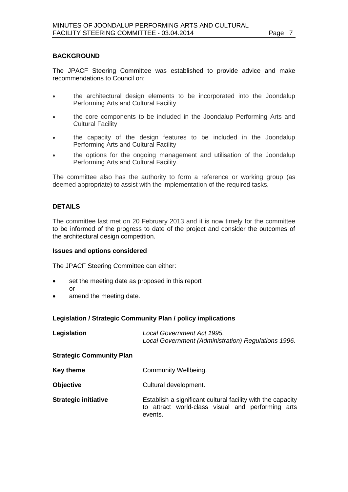#### **BACKGROUND**

The JPACF Steering Committee was established to provide advice and make recommendations to Council on:

- the architectural design elements to be incorporated into the Joondalup Performing Arts and Cultural Facility
- the core components to be included in the Joondalup Performing Arts and Cultural Facility
- the capacity of the design features to be included in the Joondalup Performing Arts and Cultural Facility
- the options for the ongoing management and utilisation of the Joondalup Performing Arts and Cultural Facility.

The committee also has the authority to form a reference or working group (as deemed appropriate) to assist with the implementation of the required tasks.

#### **DETAILS**

The committee last met on 20 February 2013 and it is now timely for the committee to be informed of the progress to date of the project and consider the outcomes of the architectural design competition.

#### **Issues and options considered**

The JPACF Steering Committee can either:

- set the meeting date as proposed in this report or
- amend the meeting date.

#### **Legislation / Strategic Community Plan / policy implications**

| Legislation                     | Local Government Act 1995.<br>Local Government (Administration) Regulations 1996.                                           |
|---------------------------------|-----------------------------------------------------------------------------------------------------------------------------|
| <b>Strategic Community Plan</b> |                                                                                                                             |
| Key theme                       | Community Wellbeing.                                                                                                        |
| <b>Objective</b>                | Cultural development.                                                                                                       |
| <b>Strategic initiative</b>     | Establish a significant cultural facility with the capacity<br>to attract world-class visual and performing arts<br>events. |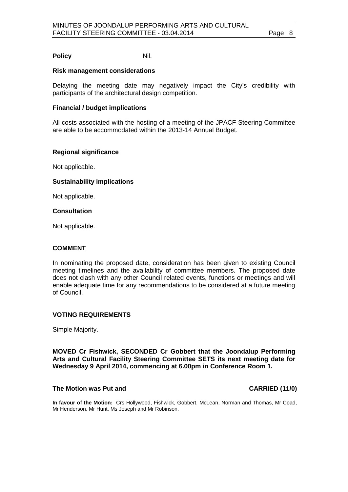#### **Policy** Nil.

#### **Risk management considerations**

Delaying the meeting date may negatively impact the City's credibility with participants of the architectural design competition.

#### **Financial / budget implications**

All costs associated with the hosting of a meeting of the JPACF Steering Committee are able to be accommodated within the 2013-14 Annual Budget.

#### **Regional significance**

Not applicable.

#### **Sustainability implications**

Not applicable.

#### **Consultation**

Not applicable.

#### **COMMENT**

In nominating the proposed date, consideration has been given to existing Council meeting timelines and the availability of committee members. The proposed date does not clash with any other Council related events, functions or meetings and will enable adequate time for any recommendations to be considered at a future meeting of Council.

#### **VOTING REQUIREMENTS**

Simple Majority.

**MOVED Cr Fishwick, SECONDED Cr Gobbert that the Joondalup Performing Arts and Cultural Facility Steering Committee SETS its next meeting date for Wednesday 9 April 2014, commencing at 6.00pm in Conference Room 1.**

#### **The Motion was Put and CARRIED (11/0)**

**In favour of the Motion:** Crs Hollywood, Fishwick, Gobbert, McLean, Norman and Thomas, Mr Coad, Mr Henderson, Mr Hunt, Ms Joseph and Mr Robinson.